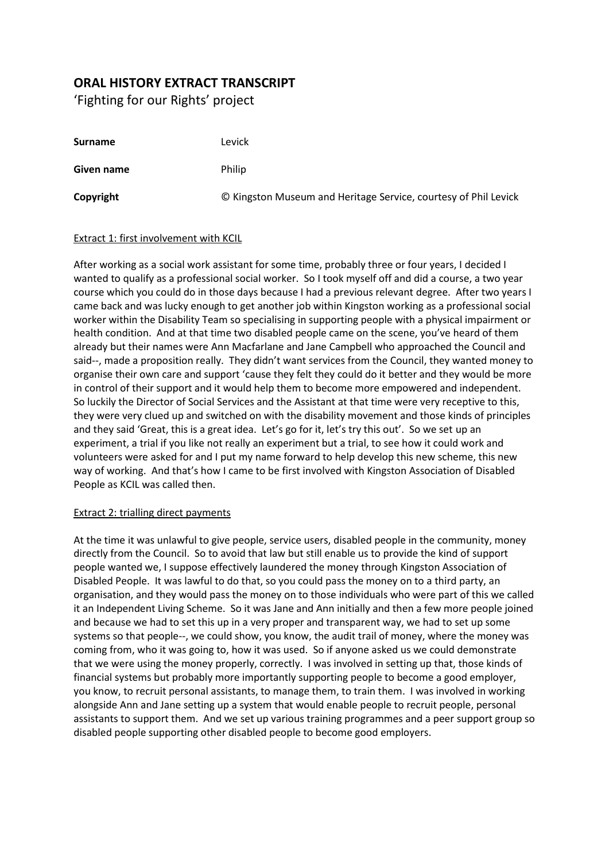## **ORAL HISTORY EXTRACT TRANSCRIPT**

'Fighting for our Rights' project

| <b>Surname</b> | Levick                                                          |
|----------------|-----------------------------------------------------------------|
| Given name     | Philip                                                          |
| Copyright      | © Kingston Museum and Heritage Service, courtesy of Phil Levick |

## Extract 1: first involvement with KCIL

After working as a social work assistant for some time, probably three or four years, I decided I wanted to qualify as a professional social worker. So I took myself off and did a course, a two year course which you could do in those days because I had a previous relevant degree. After two years I came back and was lucky enough to get another job within Kingston working as a professional social worker within the Disability Team so specialising in supporting people with a physical impairment or health condition. And at that time two disabled people came on the scene, you've heard of them already but their names were Ann Macfarlane and Jane Campbell who approached the Council and said--, made a proposition really. They didn't want services from the Council, they wanted money to organise their own care and support 'cause they felt they could do it better and they would be more in control of their support and it would help them to become more empowered and independent. So luckily the Director of Social Services and the Assistant at that time were very receptive to this, they were very clued up and switched on with the disability movement and those kinds of principles and they said 'Great, this is a great idea. Let's go for it, let's try this out'. So we set up an experiment, a trial if you like not really an experiment but a trial, to see how it could work and volunteers were asked for and I put my name forward to help develop this new scheme, this new way of working. And that's how I came to be first involved with Kingston Association of Disabled People as KCIL was called then.

## Extract 2: trialling direct payments

At the time it was unlawful to give people, service users, disabled people in the community, money directly from the Council. So to avoid that law but still enable us to provide the kind of support people wanted we, I suppose effectively laundered the money through Kingston Association of Disabled People. It was lawful to do that, so you could pass the money on to a third party, an organisation, and they would pass the money on to those individuals who were part of this we called it an Independent Living Scheme. So it was Jane and Ann initially and then a few more people joined and because we had to set this up in a very proper and transparent way, we had to set up some systems so that people--, we could show, you know, the audit trail of money, where the money was coming from, who it was going to, how it was used. So if anyone asked us we could demonstrate that we were using the money properly, correctly. I was involved in setting up that, those kinds of financial systems but probably more importantly supporting people to become a good employer, you know, to recruit personal assistants, to manage them, to train them. I was involved in working alongside Ann and Jane setting up a system that would enable people to recruit people, personal assistants to support them. And we set up various training programmes and a peer support group so disabled people supporting other disabled people to become good employers.